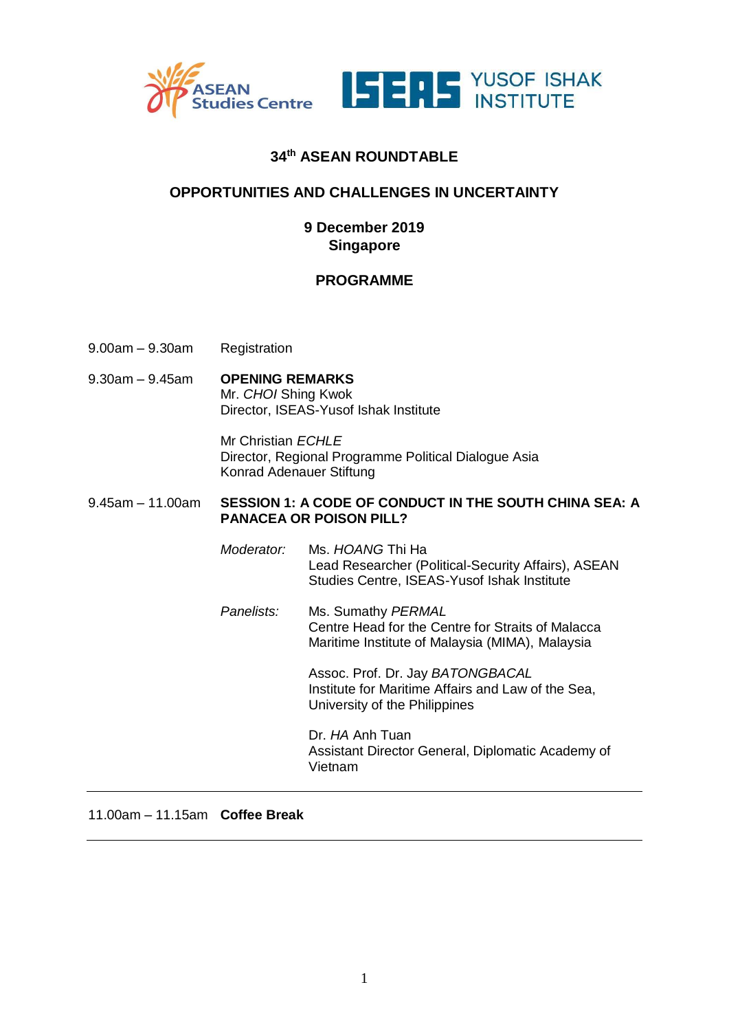



## **34th ASEAN ROUNDTABLE**

## **OPPORTUNITIES AND CHALLENGES IN UNCERTAINTY**

## **9 December 2019 Singapore**

## **PROGRAMME**

- 9.00am 9.30am Registration
- 9.30am 9.45am **OPENING REMARKS** Mr. *CHOI* Shing Kwok Director, ISEAS-Yusof Ishak Institute

Mr Christian *ECHLE* Director, Regional Programme Political Dialogue Asia Konrad Adenauer Stiftung

#### 9.45am – 11.00am **SESSION 1: A CODE OF CONDUCT IN THE SOUTH CHINA SEA: A PANACEA OR POISON PILL?**

*Moderator:* Ms. *HOANG* Thi Ha Lead Researcher (Political-Security Affairs), ASEAN Studies Centre, ISEAS-Yusof Ishak Institute

*Panelists:* Ms. Sumathy *PERMAL* Centre Head for the Centre for Straits of Malacca Maritime Institute of Malaysia (MIMA), Malaysia

> Assoc. Prof. Dr. Jay *BATONGBACAL* Institute for Maritime Affairs and Law of the Sea, University of the Philippines

Dr. *HA* Anh Tuan Assistant Director General, Diplomatic Academy of Vietnam

#### 11.00am – 11.15am **Coffee Break**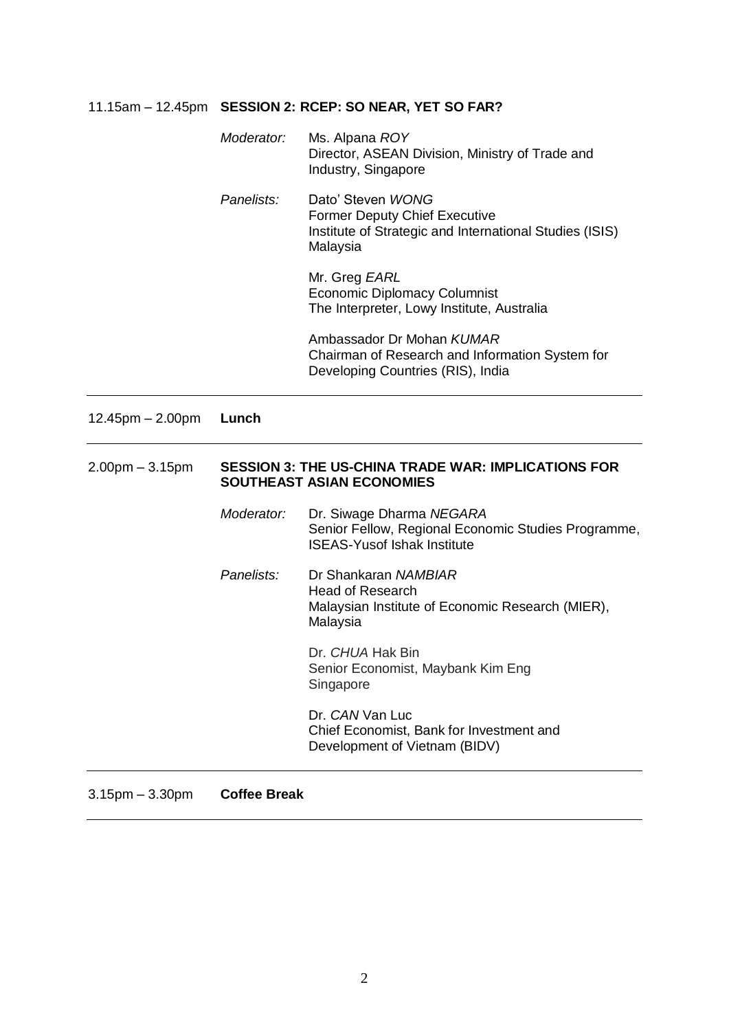# 11.15am – 12.45pm **SESSION 2: RCEP: SO NEAR, YET SO FAR?**

|                   | Moderator:                                                                                     | Ms. Alpana ROY<br>Director, ASEAN Division, Ministry of Trade and<br>Industry, Singapore                                         |
|-------------------|------------------------------------------------------------------------------------------------|----------------------------------------------------------------------------------------------------------------------------------|
|                   | Panelists:                                                                                     | Dato' Steven WONG<br><b>Former Deputy Chief Executive</b><br>Institute of Strategic and International Studies (ISIS)<br>Malaysia |
|                   |                                                                                                | Mr. Greg EARL<br><b>Economic Diplomacy Columnist</b><br>The Interpreter, Lowy Institute, Australia                               |
|                   |                                                                                                | Ambassador Dr Mohan KUMAR<br>Chairman of Research and Information System for<br>Developing Countries (RIS), India                |
| 12.45pm - 2.00pm  | Lunch                                                                                          |                                                                                                                                  |
| $2.00pm - 3.15pm$ | <b>SESSION 3: THE US-CHINA TRADE WAR: IMPLICATIONS FOR</b><br><b>SOUTHEAST ASIAN ECONOMIES</b> |                                                                                                                                  |
|                   | Moderator:                                                                                     | Dr. Siwage Dharma NEGARA<br>Senior Fellow, Regional Economic Studies Programme,<br><b>ISEAS-Yusof Ishak Institute</b>            |
|                   | Panelists:                                                                                     | Dr Shankaran NAMBIAR<br><b>Head of Research</b><br>Malaysian Institute of Economic Research (MIER),<br>Malaysia                  |
|                   |                                                                                                | Dr. CHUA Hak Bin<br>Senior Economist, Maybank Kim Eng<br>Singapore                                                               |
|                   |                                                                                                | Dr. CAN Van Luc                                                                                                                  |
|                   |                                                                                                | Chief Economist, Bank for Investment and<br>Development of Vietnam (BIDV)                                                        |

3.15pm – 3.30pm **Coffee Break**